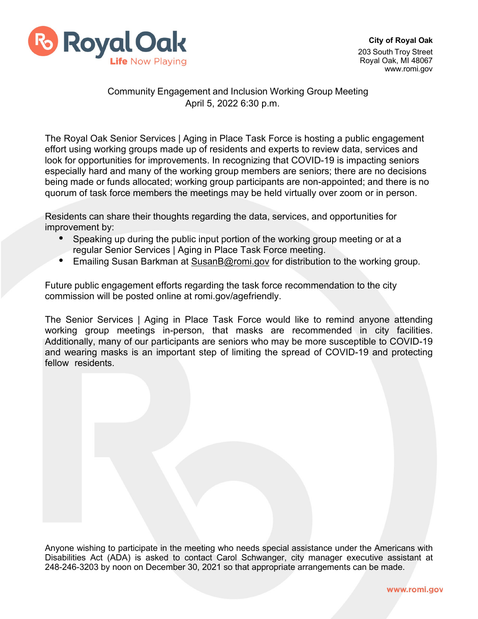

## Community Engagement and Inclusion Working Group Meeting April 5, 2022 6:30 p.m.

The Royal Oak Senior Services | Aging in Place Task Force is hosting a public engagement effort using working groups made up of residents and experts to review data, services and look for opportunities for improvements. In recognizing that COVID-19 is impacting seniors especially hard and many of the working group members are seniors; there are no decisions being made or funds allocated; working group participants are non-appointed; and there is no quorum of task force members the meetings may be held virtually over zoom or in person.

Residents can share their thoughts regarding the data, services, and opportunities for improvement by:

- Speaking up during the public input portion of the working group meeting or at a regular Senior Services | Aging in Place Task Force meeting.
- Emailing Susan Barkman at [SusanB@romi.gov](mailto:SusanB@romi.gov) for distribution to the working group.

Future public engagement efforts regarding the task force recommendation to the city commission will be posted online at romi.gov/agefriendly.

The Senior Services | Aging in Place Task Force would like to remind anyone attending working group meetings in-person, that masks are recommended in city facilities. Additionally, many of our participants are seniors who may be more susceptible to COVID-19 and wearing masks is an important step of limiting the spread of COVID-19 and protecting fellow residents.

Anyone wishing to participate in the meeting who needs special assistance under the Americans with Disabilities Act (ADA) is asked to contact Carol Schwanger, city manager executive assistant at 248-246-3203 by noon on December 30, 2021 so that appropriate arrangements can be made.